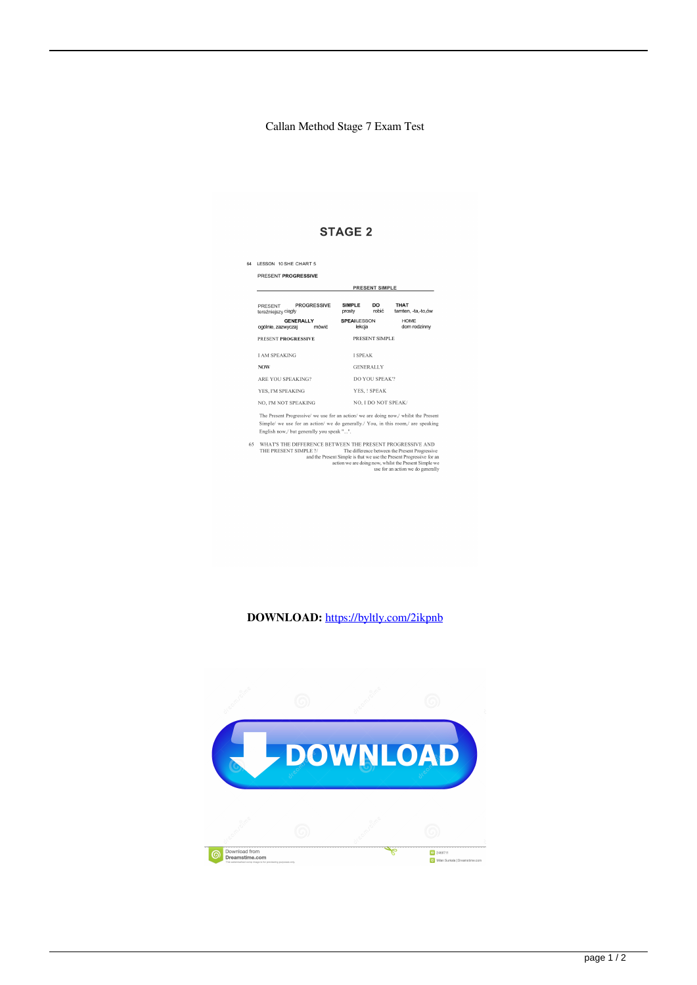## Callan Method Stage 7 Exam Test

## **STAGE 2**

| 64 | LESSON 10 SHE CHART 5                                                                                                                                                                                                 |                                        |                                   |  |
|----|-----------------------------------------------------------------------------------------------------------------------------------------------------------------------------------------------------------------------|----------------------------------------|-----------------------------------|--|
|    | PRESENT PROGRESSIVE                                                                                                                                                                                                   |                                        |                                   |  |
|    |                                                                                                                                                                                                                       | <b>PRESENT SIMPLE</b>                  |                                   |  |
|    | <b>PROGRESSIVE</b><br>PRESENT<br>teraźniejszy ciągły                                                                                                                                                                  | <b>SIMPLE</b><br>DO<br>robić<br>prosty | <b>THAT</b><br>tamten, -ta,-to,ów |  |
|    | <b>GENERALLY</b><br>ogólnie, zazwyczaj<br>mówić.                                                                                                                                                                      | <b>SPEALESSON</b><br>lekcja            | <b>HOME</b><br>dom rodzinny       |  |
|    | PRESENT PROGRESSIVE                                                                                                                                                                                                   | PRESENT SIMPLE                         |                                   |  |
|    | <b>LAM SPEAKING</b>                                                                                                                                                                                                   | <b>I SPEAK</b>                         |                                   |  |
|    | <b>NOW</b>                                                                                                                                                                                                            | <b>GENERALLY</b>                       |                                   |  |
|    | <b>ARE YOU SPEAKING?</b>                                                                                                                                                                                              | DO YOU SPEAK"?                         |                                   |  |
|    | YES. I'M SPEAKING                                                                                                                                                                                                     | YES. ! SPEAK<br>NO, I DO NOT SPEAK/    |                                   |  |
|    | NO. I'M NOT SPEAKING                                                                                                                                                                                                  |                                        |                                   |  |
|    | The Present Progressive/ we use for an action/ we are doing now./ whilst the Present<br>Simple/ we use for an action/ we do generally./ You, in this room,/ are speaking<br>English now,/ but generally you speak "". |                                        |                                   |  |

65 WHAT'S THE DIFFERENCE BETWEEN THE PRESENT PROGRESSIVE AND<br>
THE PRESENT SIMPLE ? The difference between the Present Progressive<br>
THE PRESENT SIMPLE ? The difference between the Present Progressive<br>
and the Present Foury

## **DOWNLOAD:** <https://byltly.com/2ikpnb>